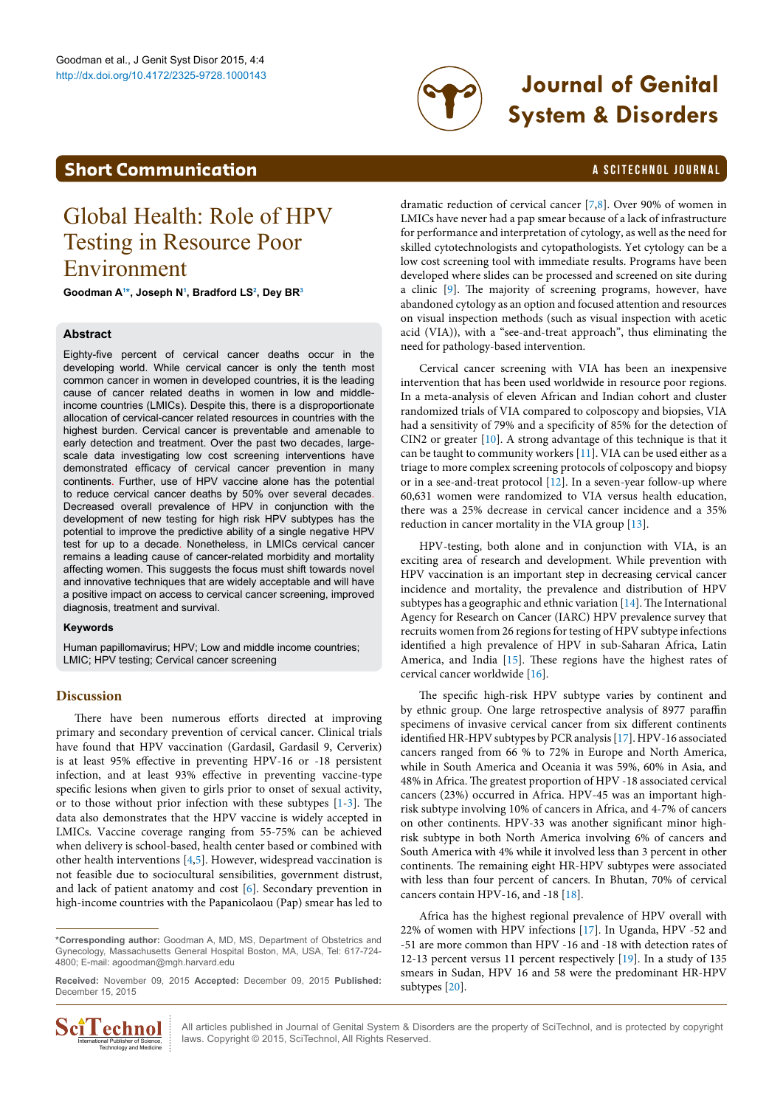

# http://dx.doi.org/10.4172/2325-9728.1000143 **Journal of Genital System & Disorders**

### <span id="page-0-1"></span>**Short Communication a** Scitechnol journal

## Global Health: Role of HPV Testing in Resource Poor Environment

**Goodman [A1](#page-1-0) [\\*,](#page-0-0) Joseph [N1](#page-1-0) , Bradford LS[2](#page-1-1) , Dey B[R3](#page-1-2)**

#### **Abstract**

Eighty-five percent of cervical cancer deaths occur in the developing world. While cervical cancer is only the tenth most common cancer in women in developed countries, it is the leading cause of cancer related deaths in women in low and middleincome countries (LMICs). Despite this, there is a disproportionate allocation of cervical-cancer related resources in countries with the highest burden. Cervical cancer is preventable and amenable to early detection and treatment. Over the past two decades, largescale data investigating low cost screening interventions have demonstrated efficacy of cervical cancer prevention in many continents. Further, use of HPV vaccine alone has the potential to reduce cervical cancer deaths by 50% over several decades. Decreased overall prevalence of HPV in conjunction with the development of new testing for high risk HPV subtypes has the potential to improve the predictive ability of a single negative HPV test for up to a decade. Nonetheless, in LMICs cervical cancer remains a leading cause of cancer-related morbidity and mortality affecting women. This suggests the focus must shift towards novel and innovative techniques that are widely acceptable and will have a positive impact on access to cervical cancer screening, improved diagnosis, treatment and survival.

#### **Keywords**

Human papillomavirus; HPV; Low and middle income countries; LMIC; HPV testing; Cervical cancer screening

#### **Discussion**

There have been numerous efforts directed at improving primary and secondary prevention of cervical cancer. Clinical trials have found that HPV vaccination (Gardasil, Gardasil 9, Cerverix) is at least 95% effective in preventing HPV-16 or -18 persistent infection, and at least 93% effective in preventing vaccine-type specific lesions when given to girls prior to onset of sexual activity, or to those without prior infection with these subtypes [[1](#page-1-3)[-3](#page-1-4)]. The data also demonstrates that the HPV vaccine is widely accepted in LMICs. Vaccine coverage ranging from 55-75% can be achieved when delivery is school-based, health center based or combined with other health interventions [\[4,](#page-1-5)[5\]](#page-1-6). However, widespread vaccination is not feasible due to sociocultural sensibilities, government distrust, and lack of patient anatomy and cost [[6\]](#page-1-7). Secondary prevention in high-income countries with the Papanicolaou (Pap) smear has led to

**Received:** November 09, 2015 **Accepted:** December 09, 2015 **Published:** December 15, 2015



All articles published in Journal of Genital System & Disorders are the property of SciTechnol, and is protected by copyright **COMPOLER ALL** All articles published in Journal of Genital System & Disc<br>  $\text{Riem}$  Publisher of Science, laws. Copyright © 2015, SciTechnol, All Rights Reserved.

dramatic reduction of cervical cancer [[7](#page-1-8)[,8\]](#page-1-9). Over 90% of women in LMICs have never had a pap smear because of a lack of infrastructure for performance and interpretation of cytology, as well as the need for skilled cytotechnologists and cytopathologists. Yet cytology can be a low cost screening tool with immediate results. Programs have been developed where slides can be processed and screened on site during a clinic [\[9](#page-1-10)]. The majority of screening programs, however, have abandoned cytology as an option and focused attention and resources on visual inspection methods (such as visual inspection with acetic acid (VIA)), with a "see-and-treat approach", thus eliminating the need for pathology-based intervention.

Cervical cancer screening with VIA has been an inexpensive intervention that has been used worldwide in resource poor regions. In a meta-analysis of eleven African and Indian cohort and cluster randomized trials of VIA compared to colposcopy and biopsies, VIA had a sensitivity of 79% and a specificity of 85% for the detection of CIN2 or greater [[10](#page-1-11)]. A strong advantage of this technique is that it can be taught to community workers  $[11]$ . VIA can be used either as a triage to more complex screening protocols of colposcopy and biopsy or in a see-and-treat protocol [\[12\]](#page-1-13). In a seven-year follow-up where 60,631 women were randomized to VIA versus health education, there was a 25% decrease in cervical cancer incidence and a 35% reduction in cancer mortality in the VIA group [[13](#page-1-14)].

HPV-testing, both alone and in conjunction with VIA, is an exciting area of research and development. While prevention with HPV vaccination is an important step in decreasing cervical cancer incidence and mortality, the prevalence and distribution of HPV subtypes has a geographic and ethnic variation [[14](#page-1-15)]. The International Agency for Research on Cancer (IARC) HPV prevalence survey that recruits women from 26 regions for testing of HPV subtype infections identified a high prevalence of HPV in sub-Saharan Africa, Latin America, and India [\[15](#page-1-16)]. These regions have the highest rates of cervical cancer worldwide [\[16](#page-1-17)].

The specific high-risk HPV subtype varies by continent and by ethnic group. One large retrospective analysis of 8977 paraffin specimens of invasive cervical cancer from six different continents identified HR-HPV subtypes by PCR analysis [\[17](#page-1-18)]. HPV-16 associated cancers ranged from 66 % to 72% in Europe and North America, while in South America and Oceania it was 59%, 60% in Asia, and 48% in Africa. The greatest proportion of HPV -18 associated cervical cancers (23%) occurred in Africa. HPV-45 was an important highrisk subtype involving 10% of cancers in Africa, and 4-7% of cancers on other continents. HPV-33 was another significant minor highrisk subtype in both North America involving 6% of cancers and South America with 4% while it involved less than 3 percent in other continents. The remaining eight HR-HPV subtypes were associated with less than four percent of cancers. In Bhutan, 70% of cervical cancers contain HPV-16, and -18 [\[18\]](#page-1-19).

Africa has the highest regional prevalence of HPV overall with 22% of women with HPV infections [\[17](#page-1-18)]. In Uganda, HPV -52 and -51 are more common than HPV -16 and -18 with detection rates of 12-13 percent versus 11 percent respectively [\[19\]](#page-1-20). In a study of 135 smears in Sudan, HPV 16 and 58 were the predominant HR-HPV subtypes [\[20\]](#page-1-21).

<span id="page-0-0"></span>**<sup>\*</sup>Corresponding author:** Goodman A, MD, MS, Department of Obstetrics and Gynecology, Massachusetts General Hospital Boston, MA, USA, Tel: 617-724- 4800; E-mail: agoodman@mgh.harvard.edu